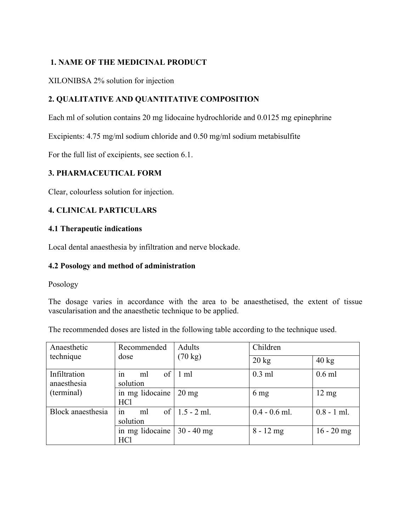# **1. NAME OF THE MEDICINAL PRODUCT**

### XILONIBSA 2% solution for injection

# **2. QUALITATIVE AND QUANTITATIVE COMPOSITION**

Each ml of solution contains 20 mg lidocaine hydrochloride and 0.0125 mg epinephrine

Excipients: 4.75 mg/ml sodium chloride and 0.50 mg/ml sodium metabisulfite

For the full list of excipients, see section 6.1.

# **3. PHARMACEUTICAL FORM**

Clear, colourless solution for injection.

### **4. CLINICAL PARTICULARS**

### **4.1 Therapeutic indications**

Local dental anaesthesia by infiltration and nerve blockade.

### **4.2 Posology and method of administration**

Posology

The dosage varies in accordance with the area to be anaesthetised, the extent of tissue vascularisation and the anaesthetic technique to be applied.

The recommended doses are listed in the following table according to the technique used.

| Anaesthetic                 | Recommended                | Adults            | Children        |                 |
|-----------------------------|----------------------------|-------------------|-----------------|-----------------|
| technique                   | dose                       | $(70 \text{ kg})$ | $20 \text{ kg}$ | $40 \text{ kg}$ |
| Infiltration<br>anaesthesia | of<br>1n<br>ml<br>solution | $1 \text{ ml}$    | $0.3$ ml        | $0.6$ ml        |
|                             |                            |                   |                 |                 |
| (terminal)                  | in mg lidocaine            | $20 \text{ mg}$   | $6 \text{ mg}$  | $12 \text{ mg}$ |
|                             | HC <sub>1</sub>            |                   |                 |                 |
| Block anaesthesia           | of<br>ml<br>in             | $1.5 - 2$ ml.     | $0.4 - 0.6$ ml. | $0.8 - 1$ ml.   |
|                             | solution                   |                   |                 |                 |
|                             | in mg lidocaine            | $30 - 40$ mg      | $8 - 12$ mg     | $16 - 20$ mg    |
|                             | HC <sub>1</sub>            |                   |                 |                 |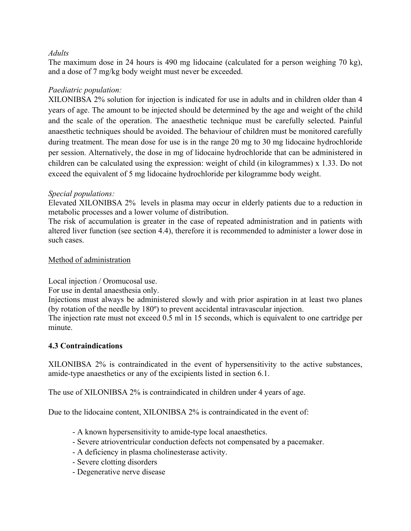### *Adults*

The maximum dose in 24 hours is 490 mg lidocaine (calculated for a person weighing 70 kg), and a dose of 7 mg/kg body weight must never be exceeded.

# *Paediatric population:*

XILONIBSA 2% solution for injection is indicated for use in adults and in children older than 4 years of age. The amount to be injected should be determined by the age and weight of the child and the scale of the operation. The anaesthetic technique must be carefully selected. Painful anaesthetic techniques should be avoided. The behaviour of children must be monitored carefully during treatment. The mean dose for use is in the range 20 mg to 30 mg lidocaine hydrochloride per session. Alternatively, the dose in mg of lidocaine hydrochloride that can be administered in children can be calculated using the expression: weight of child (in kilogrammes) x 1.33. Do not exceed the equivalent of 5 mg lidocaine hydrochloride per kilogramme body weight.

### *Special populations:*

Elevated XILONIBSA 2% levels in plasma may occur in elderly patients due to a reduction in metabolic processes and a lower volume of distribution.

The risk of accumulation is greater in the case of repeated administration and in patients with altered liver function (see section 4.4), therefore it is recommended to administer a lower dose in such cases.

### Method of administration

Local injection / Oromucosal use.

For use in dental anaesthesia only.

Injections must always be administered slowly and with prior aspiration in at least two planes (by rotation of the needle by 180º) to prevent accidental intravascular injection.

The injection rate must not exceed 0.5 ml in 15 seconds, which is equivalent to one cartridge per minute.

# **4.3 Contraindications**

XILONIBSA 2% is contraindicated in the event of hypersensitivity to the active substances, amide-type anaesthetics or any of the excipients listed in section 6.1.

The use of XILONIBSA 2% is contraindicated in children under 4 years of age.

Due to the lidocaine content, XILONIBSA 2% is contraindicated in the event of:

- A known hypersensitivity to amide-type local anaesthetics.
- Severe atrioventricular conduction defects not compensated by a pacemaker.
- A deficiency in plasma cholinesterase activity.
- Severe clotting disorders
- Degenerative nerve disease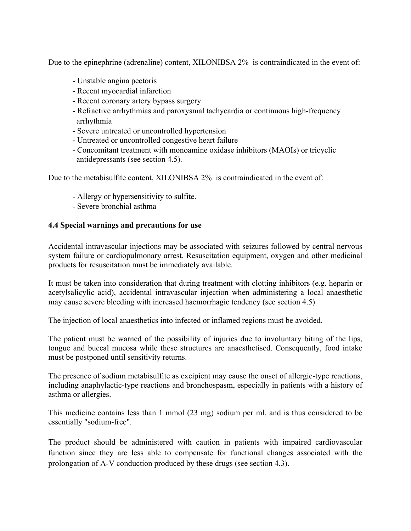Due to the epinephrine (adrenaline) content, XILONIBSA 2% is contraindicated in the event of:

- Unstable angina pectoris
- Recent myocardial infarction
- Recent coronary artery bypass surgery
- Refractive arrhythmias and paroxysmal tachycardia or continuous high-frequency arrhythmia
- Severe untreated or uncontrolled hypertension
- Untreated or uncontrolled congestive heart failure
- Concomitant treatment with monoamine oxidase inhibitors (MAOIs) or tricyclic antidepressants (see section 4.5).

Due to the metabisulfite content, XILONIBSA 2% is contraindicated in the event of:

- Allergy or hypersensitivity to sulfite.
- Severe bronchial asthma

# **4.4 Special warnings and precautions for use**

Accidental intravascular injections may be associated with seizures followed by central nervous system failure or cardiopulmonary arrest. Resuscitation equipment, oxygen and other medicinal products for resuscitation must be immediately available.

It must be taken into consideration that during treatment with clotting inhibitors (e.g. heparin or acetylsalicylic acid), accidental intravascular injection when administering a local anaesthetic may cause severe bleeding with increased haemorrhagic tendency (see section 4.5)

The injection of local anaesthetics into infected or inflamed regions must be avoided.

The patient must be warned of the possibility of injuries due to involuntary biting of the lips, tongue and buccal mucosa while these structures are anaesthetised. Consequently, food intake must be postponed until sensitivity returns.

The presence of sodium metabisulfite as excipient may cause the onset of allergic-type reactions, including anaphylactic-type reactions and bronchospasm, especially in patients with a history of asthma or allergies.

This medicine contains less than 1 mmol (23 mg) sodium per ml, and is thus considered to be essentially "sodium-free".

The product should be administered with caution in patients with impaired cardiovascular function since they are less able to compensate for functional changes associated with the prolongation of A-V conduction produced by these drugs (see section 4.3).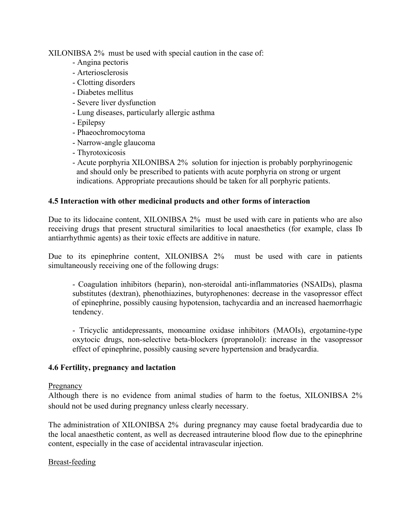XILONIBSA 2% must be used with special caution in the case of:

- Angina pectoris
- Arteriosclerosis
- Clotting disorders
- Diabetes mellitus
- Severe liver dysfunction
- Lung diseases, particularly allergic asthma
- Epilepsy
- Phaeochromocytoma
- Narrow-angle glaucoma
- Thyrotoxicosis
- Acute porphyria XILONIBSA 2% solution for injection is probably porphyrinogenic and should only be prescribed to patients with acute porphyria on strong or urgent indications. Appropriate precautions should be taken for all porphyric patients.

### **4.5 Interaction with other medicinal products and other forms of interaction**

Due to its lidocaine content, XILONIBSA 2% must be used with care in patients who are also receiving drugs that present structural similarities to local anaesthetics (for example, class Ib antiarrhythmic agents) as their toxic effects are additive in nature.

Due to its epinephrine content, XILONIBSA 2% must be used with care in patients simultaneously receiving one of the following drugs:

- Coagulation inhibitors (heparin), non-steroidal anti-inflammatories (NSAIDs), plasma substitutes (dextran), phenothiazines, butyrophenones: decrease in the vasopressor effect of epinephrine, possibly causing hypotension, tachycardia and an increased haemorrhagic tendency.

- Tricyclic antidepressants, monoamine oxidase inhibitors (MAOIs), ergotamine-type oxytocic drugs, non-selective beta-blockers (propranolol): increase in the vasopressor effect of epinephrine, possibly causing severe hypertension and bradycardia.

### **4.6 Fertility, pregnancy and lactation**

### Pregnancy

Although there is no evidence from animal studies of harm to the foetus, XILONIBSA 2% should not be used during pregnancy unless clearly necessary.

The administration of XILONIBSA 2% during pregnancy may cause foetal bradycardia due to the local anaesthetic content, as well as decreased intrauterine blood flow due to the epinephrine content, especially in the case of accidental intravascular injection.

### Breast-feeding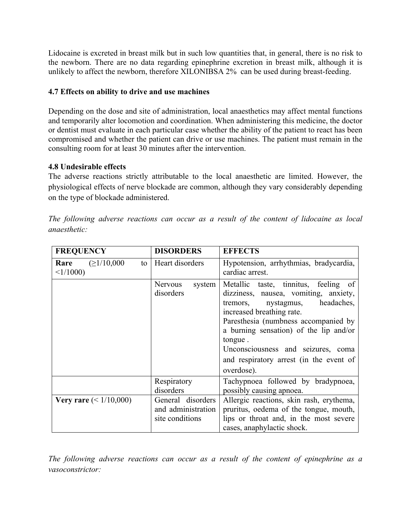Lidocaine is excreted in breast milk but in such low quantities that, in general, there is no risk to the newborn. There are no data regarding epinephrine excretion in breast milk, although it is unlikely to affect the newborn, therefore XILONIBSA 2% can be used during breast-feeding.

# **4.7 Effects on ability to drive and use machines**

Depending on the dose and site of administration, local anaesthetics may affect mental functions and temporarily alter locomotion and coordination. When administering this medicine, the doctor or dentist must evaluate in each particular case whether the ability of the patient to react has been compromised and whether the patient can drive or use machines. The patient must remain in the consulting room for at least 30 minutes after the intervention.

# **4.8 Undesirable effects**

The adverse reactions strictly attributable to the local anaesthetic are limited. However, the physiological effects of nerve blockade are common, although they vary considerably depending on the type of blockade administered.

| <b>FREQUENCY</b>                                                                              | <b>DISORDERS</b><br><b>EFFECTS</b>    |                                                                                                                                                                                                                                                                                                                                             |  |
|-----------------------------------------------------------------------------------------------|---------------------------------------|---------------------------------------------------------------------------------------------------------------------------------------------------------------------------------------------------------------------------------------------------------------------------------------------------------------------------------------------|--|
| <b>Rare</b> $(\geq 1/10,000)$<br>to<br>$\leq$ 1/1000)                                         | Heart disorders                       | Hypotension, arrhythmias, bradycardia,<br>cardiac arrest.                                                                                                                                                                                                                                                                                   |  |
|                                                                                               | <b>Nervous</b><br>system<br>disorders | Metallic taste, tinnitus, feeling of<br>dizziness, nausea, vomiting, anxiety,<br>headaches,<br>tremors, nystagmus,<br>increased breathing rate.<br>Paresthesia (numbness accompanied by<br>a burning sensation) of the lip and/or<br>tongue.<br>Unconsciousness and seizures, coma<br>and respiratory arrest (in the event of<br>overdose). |  |
|                                                                                               | Respiratory<br>disorders              | Tachypnoea followed by bradypnoea,<br>possibly causing apnoea.                                                                                                                                                                                                                                                                              |  |
| General disorders<br><b>Very rare</b> $(< 1/10,000)$<br>and administration<br>site conditions |                                       | Allergic reactions, skin rash, erythema,<br>pruritus, oedema of the tongue, mouth,<br>lips or throat and, in the most severe<br>cases, anaphylactic shock.                                                                                                                                                                                  |  |

*The following adverse reactions can occur as a result of the content of lidocaine as local anaesthetic:*

*The following adverse reactions can occur as a result of the content of epinephrine as a vasoconstrictor:*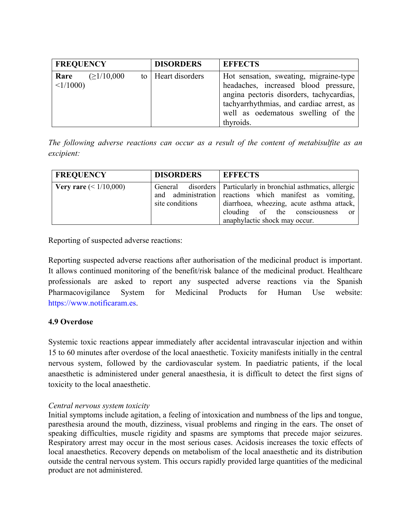| <b>FREQUENCY</b>                          |  | <b>DISORDERS</b>     | <b>EFFECTS</b>                                                                                                                                                                                                            |
|-------------------------------------------|--|----------------------|---------------------------------------------------------------------------------------------------------------------------------------------------------------------------------------------------------------------------|
| $\geq$ 1/10,000<br>Rare<br>$\leq$ 1/1000) |  | to   Heart disorders | Hot sensation, sweating, migraine-type<br>headaches, increased blood pressure,<br>angina pectoris disorders, tachycardias,<br>tachyarrhythmias, and cardiac arrest, as<br>well as oedematous swelling of the<br>thyroids. |

*The following adverse reactions can occur as a result of the content of metabisulfite as an excipient:*

| <b>FREQUENCY</b>                | <b>DISORDERS</b> | <b>EFFECTS</b>                                                                                                                                                                                                                                   |
|---------------------------------|------------------|--------------------------------------------------------------------------------------------------------------------------------------------------------------------------------------------------------------------------------------------------|
| <b>Very rare</b> $(< 1/10,000)$ | site conditions  | General disorders   Particularly in bronchial asthmatics, allergic<br>and administration reactions which manifest as vomiting,<br>diarrhoea, wheezing, acute asthma attack,<br>clouding of the consciousness or<br>anaphylactic shock may occur. |

Reporting of suspected adverse reactions:

Reporting suspected adverse reactions after authorisation of the medicinal product is important. It allows continued monitoring of the benefit/risk balance of the medicinal product. Healthcare professionals are asked to report any suspected adverse reactions via the Spanish Pharmacovigilance System for Medicinal Products for Human Use website: https://www.notificaram.es.

# **4.9 Overdose**

Systemic toxic reactions appear immediately after accidental intravascular injection and within 15 to 60 minutes after overdose of the local anaesthetic. Toxicity manifests initially in the central nervous system, followed by the cardiovascular system. In paediatric patients, if the local anaesthetic is administered under general anaesthesia, it is difficult to detect the first signs of toxicity to the local anaesthetic.

### *Central nervous system toxicity*

Initial symptoms include agitation, a feeling of intoxication and numbness of the lips and tongue, paresthesia around the mouth, dizziness, visual problems and ringing in the ears. The onset of speaking difficulties, muscle rigidity and spasms are symptoms that precede major seizures. Respiratory arrest may occur in the most serious cases. Acidosis increases the toxic effects of local anaesthetics. Recovery depends on metabolism of the local anaesthetic and its distribution outside the central nervous system. This occurs rapidly provided large quantities of the medicinal product are not administered.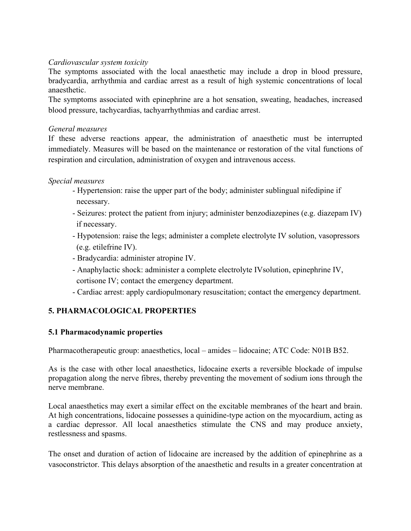### *Cardiovascular system toxicity*

The symptoms associated with the local anaesthetic may include a drop in blood pressure, bradycardia, arrhythmia and cardiac arrest as a result of high systemic concentrations of local anaesthetic.

The symptoms associated with epinephrine are a hot sensation, sweating, headaches, increased blood pressure, tachycardias, tachyarrhythmias and cardiac arrest.

### *General measures*

If these adverse reactions appear, the administration of anaesthetic must be interrupted immediately. Measures will be based on the maintenance or restoration of the vital functions of respiration and circulation, administration of oxygen and intravenous access.

### *Special measures*

- Hypertension: raise the upper part of the body; administer sublingual nifedipine if necessary.
- Seizures: protect the patient from injury; administer benzodiazepines (e.g. diazepam IV) if necessary.
- Hypotension: raise the legs; administer a complete electrolyte IV solution, vasopressors (e.g. etilefrine IV).
- Bradycardia: administer atropine IV.
- Anaphylactic shock: administer a complete electrolyte IVsolution, epinephrine IV, cortisone IV; contact the emergency department.
- Cardiac arrest: apply cardiopulmonary resuscitation; contact the emergency department.

# **5. PHARMACOLOGICAL PROPERTIES**

# **5.1 Pharmacodynamic properties**

Pharmacotherapeutic group: anaesthetics, local – amides – lidocaine; ATC Code: N01B B52.

As is the case with other local anaesthetics, lidocaine exerts a reversible blockade of impulse propagation along the nerve fibres, thereby preventing the movement of sodium ions through the nerve membrane.

Local anaesthetics may exert a similar effect on the excitable membranes of the heart and brain. At high concentrations, lidocaine possesses a quinidine-type action on the myocardium, acting as a cardiac depressor. All local anaesthetics stimulate the CNS and may produce anxiety, restlessness and spasms.

The onset and duration of action of lidocaine are increased by the addition of epinephrine as a vasoconstrictor. This delays absorption of the anaesthetic and results in a greater concentration at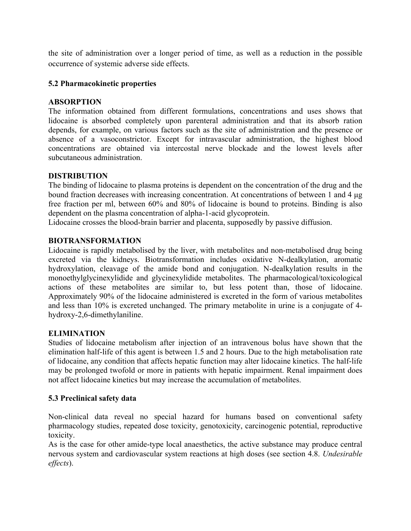the site of administration over a longer period of time, as well as a reduction in the possible occurrence of systemic adverse side effects.

### **5.2 Pharmacokinetic properties**

### **ABSORPTION**

The information obtained from different formulations, concentrations and uses shows that lidocaine is absorbed completely upon parenteral administration and that its absorb ration depends, for example, on various factors such as the site of administration and the presence or absence of a vasoconstrictor. Except for intravascular administration, the highest blood concentrations are obtained via intercostal nerve blockade and the lowest levels after subcutaneous administration.

### **DISTRIBUTION**

The binding of lidocaine to plasma proteins is dependent on the concentration of the drug and the bound fraction decreases with increasing concentration. At concentrations of between 1 and 4 μg free fraction per ml, between 60% and 80% of lidocaine is bound to proteins. Binding is also dependent on the plasma concentration of alpha-1-acid glycoprotein.

Lidocaine crosses the blood-brain barrier and placenta, supposedly by passive diffusion.

### **BIOTRANSFORMATION**

Lidocaine is rapidly metabolised by the liver, with metabolites and non-metabolised drug being excreted via the kidneys. Biotransformation includes oxidative N-dealkylation, aromatic hydroxylation, cleavage of the amide bond and conjugation. N-dealkylation results in the monoethylglycinexylidide and glycinexylidide metabolites. The pharmacological/toxicological actions of these metabolites are similar to, but less potent than, those of lidocaine. Approximately 90% of the lidocaine administered is excreted in the form of various metabolites and less than 10% is excreted unchanged. The primary metabolite in urine is a conjugate of 4 hydroxy-2,6-dimethylaniline.

### **ELIMINATION**

Studies of lidocaine metabolism after injection of an intravenous bolus have shown that the elimination half-life of this agent is between 1.5 and 2 hours. Due to the high metabolisation rate of lidocaine, any condition that affects hepatic function may alter lidocaine kinetics. The half-life may be prolonged twofold or more in patients with hepatic impairment. Renal impairment does not affect lidocaine kinetics but may increase the accumulation of metabolites.

# **5.3 Preclinical safety data**

Non-clinical data reveal no special hazard for humans based on conventional safety pharmacology studies, repeated dose toxicity, genotoxicity, carcinogenic potential, reproductive toxicity.

As is the case for other amide-type local anaesthetics, the active substance may produce central nervous system and cardiovascular system reactions at high doses (see section 4.8. *Undesirable effects*).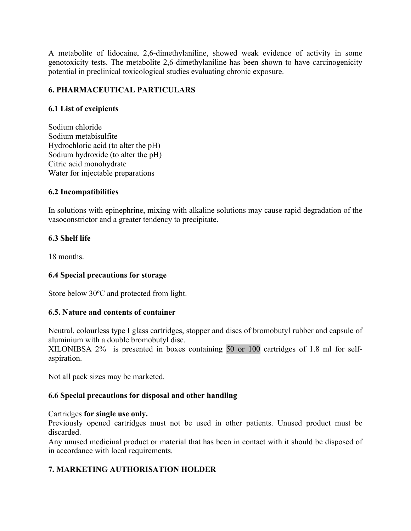A metabolite of lidocaine, 2,6-dimethylaniline, showed weak evidence of activity in some genotoxicity tests. The metabolite 2,6-dimethylaniline has been shown to have carcinogenicity potential in preclinical toxicological studies evaluating chronic exposure.

# **6. PHARMACEUTICAL PARTICULARS**

# **6.1 List of excipients**

Sodium chloride Sodium metabisulfite Hydrochloric acid (to alter the pH) Sodium hydroxide (to alter the pH) Citric acid monohydrate Water for injectable preparations

### **6.2 Incompatibilities**

In solutions with epinephrine, mixing with alkaline solutions may cause rapid degradation of the vasoconstrictor and a greater tendency to precipitate.

# **6.3 Shelf life**

18 months.

# **6.4 Special precautions for storage**

Store below 30ºC and protected from light.

### **6.5. Nature and contents of container**

Neutral, colourless type I glass cartridges, stopper and discs of bromobutyl rubber and capsule of aluminium with a double bromobutyl disc.

XILONIBSA 2% is presented in boxes containing 50 or 100 cartridges of 1.8 ml for selfaspiration.

Not all pack sizes may be marketed.

# **6.6 Special precautions for disposal and other handling**

### Cartridges **for single use only.**

Previously opened cartridges must not be used in other patients. Unused product must be discarded.

Any unused medicinal product or material that has been in contact with it should be disposed of in accordance with local requirements.

# **7. MARKETING AUTHORISATION HOLDER**